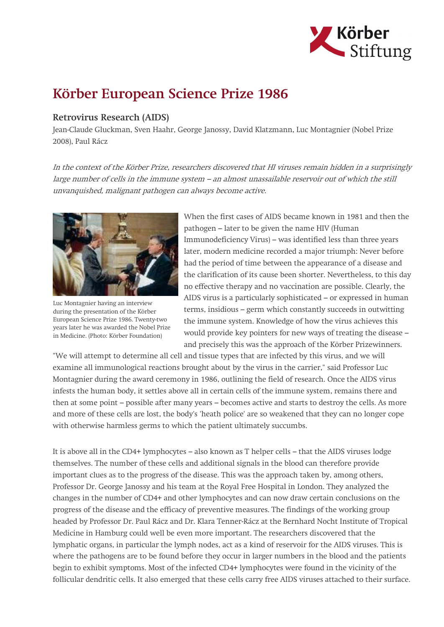

## Körber European Science Prize 1986

## Retrovirus Research (AIDS)

Jean-Claude Gluckman, Sven Haahr, George Janossy, David Klatzmann, Luc Montagnier (Nobel Prize 2008), Paul Rácz

In the context of the Körber Prize, researchers discovered that HI viruses remain hidden in a surprisingly large number of cells in the immune system – an almost unassailable reservoir out of which the still unvanquished, malignant pathogen can always become active.



Luc Montagnier having an interview during the presentation of the Körber European Science Prize 1986. Twenty-two years later he was awarded the Nobel Prize in Medicine. (Photo: Körber Foundation)

When the first cases of AIDS became known in 1981 and then the pathogen – later to be given the name HIV (Human Immunodeficiency Virus) – was identified less than three years later, modern medicine recorded a major triumph: Never before had the period of time between the appearance of a disease and the clarification of its cause been shorter. Nevertheless, to this day no effective therapy and no vaccination are possible. Clearly, the AIDS virus is a particularly sophisticated – or expressed in human terms, insidious – germ which constantly succeeds in outwitting the immune system. Knowledge of how the virus achieves this would provide key pointers for new ways of treating the disease – and precisely this was the approach of the Körber Prizewinners.

"We will attempt to determine all cell and tissue types that are infected by this virus, and we will examine all immunological reactions brought about by the virus in the carrier," said Professor Luc Montagnier during the award ceremony in 1986, outlining the field of research. Once the AIDS virus infests the human body, it settles above all in certain cells of the immune system, remains there and then at some point – possible after many years – becomes active and starts to destroy the cells. As more and more of these cells are lost, the body's 'heath police' are so weakened that they can no longer cope with otherwise harmless germs to which the patient ultimately succumbs.

It is above all in the CD4+ lymphocytes – also known as T helper cells – that the AIDS viruses lodge themselves. The number of these cells and additional signals in the blood can therefore provide important clues as to the progress of the disease. This was the approach taken by, among others, Professor Dr. George Janossy and his team at the Royal Free Hospital in London. They analyzed the changes in the number of CD4+ and other lymphocytes and can now draw certain conclusions on the progress of the disease and the efficacy of preventive measures. The findings of the working group headed by Professor Dr. Paul Rácz and Dr. Klara Tenner-Rácz at the Bernhard Nocht Institute of Tropical Medicine in Hamburg could well be even more important. The researchers discovered that the lymphatic organs, in particular the lymph nodes, act as a kind of reservoir for the AIDS viruses. This is where the pathogens are to be found before they occur in larger numbers in the blood and the patients begin to exhibit symptoms. Most of the infected CD4+ lymphocytes were found in the vicinity of the follicular dendritic cells. It also emerged that these cells carry free AIDS viruses attached to their surface.